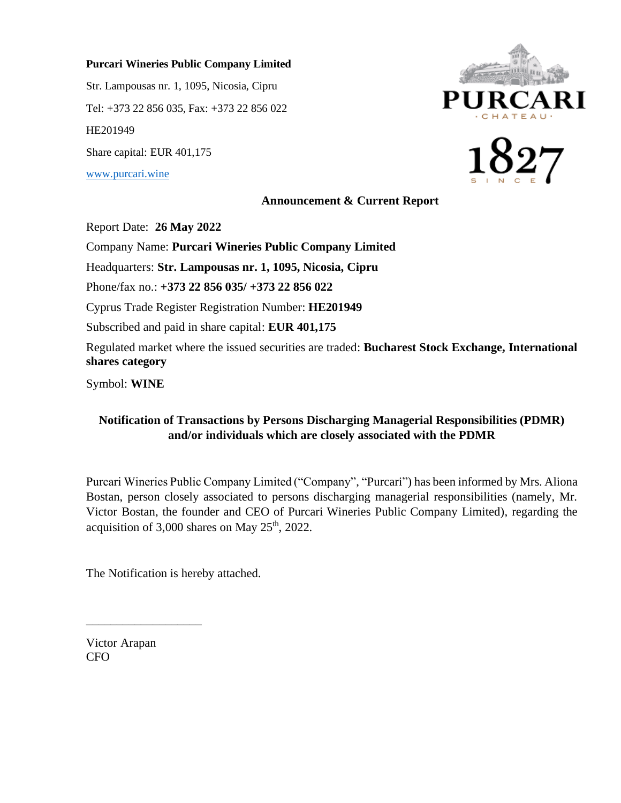### **Purcari Wineries Public Company Limited**

Str. Lampousas nr. 1, 1095, Nicosia, Cipru Tel: +373 22 856 035, Fax: +373 22 856 022 HE201949 Share capital: EUR 401,175

[www.purcari.wine](http://www.purcari.wine/)

# **JRCA**



### **Announcement & Current Report**

Report Date: **26 May 2022**

Company Name: **Purcari Wineries Public Company Limited**

Headquarters: **Str. Lampousas nr. 1, 1095, Nicosia, Cipru**

Phone/fax no.: **+373 22 856 035/ +373 22 856 022**

Cyprus Trade Register Registration Number: **HE201949**

Subscribed and paid in share capital: **EUR 401,175**

Regulated market where the issued securities are traded: **Bucharest Stock Exchange, International shares category**

Symbol: **WINE**

### **Notification of Transactions by Persons Discharging Managerial Responsibilities (PDMR) and/or individuals which are closely associated with the PDMR**

Purcari Wineries Public Company Limited ("Company", "Purcari") has been informed by Mrs. Aliona Bostan, person closely associated to persons discharging managerial responsibilities (namely, Mr. Victor Bostan, the founder and CEO of Purcari Wineries Public Company Limited), regarding the acquisition of  $3,000$  shares on May  $25<sup>th</sup>$ , 2022.

The Notification is hereby attached.

Victor Arapan CFO

\_\_\_\_\_\_\_\_\_\_\_\_\_\_\_\_\_\_\_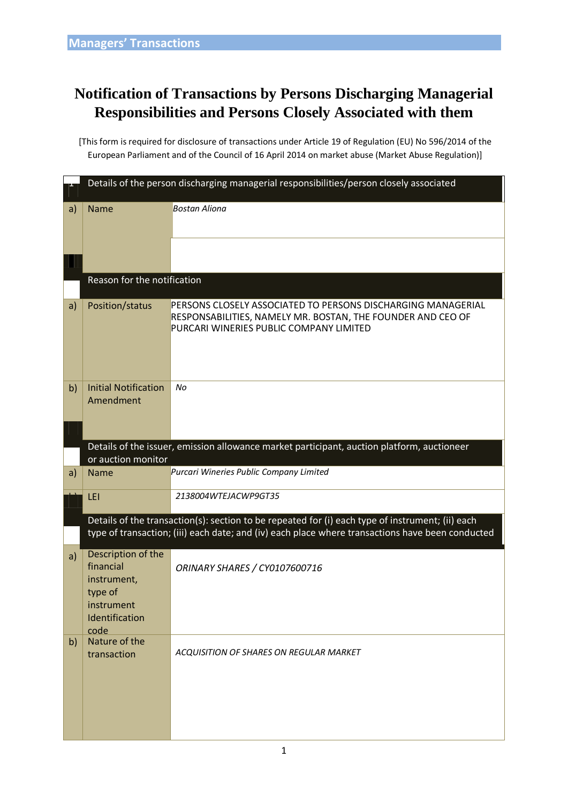# **Notification of Transactions by Persons Discharging Managerial Responsibilities and Persons Closely Associated with them**

[This form is required for disclosure of transactions under Article 19 of Regulation (EU) No 596/2014 of the European Parliament and of the Council of 16 April 2014 on market abuse (Market Abuse Regulation)]

|    | Details of the person discharging managerial responsibilities/person closely associated                                                                                                              |                                                                                                                                                                        |  |  |  |  |  |  |
|----|------------------------------------------------------------------------------------------------------------------------------------------------------------------------------------------------------|------------------------------------------------------------------------------------------------------------------------------------------------------------------------|--|--|--|--|--|--|
| a) | <b>Name</b>                                                                                                                                                                                          | <b>Bostan Aliona</b>                                                                                                                                                   |  |  |  |  |  |  |
|    |                                                                                                                                                                                                      |                                                                                                                                                                        |  |  |  |  |  |  |
|    | Reason for the notification                                                                                                                                                                          |                                                                                                                                                                        |  |  |  |  |  |  |
| a) | Position/status                                                                                                                                                                                      | PERSONS CLOSELY ASSOCIATED TO PERSONS DISCHARGING MANAGERIAL<br>RESPONSABILITIES, NAMELY MR. BOSTAN, THE FOUNDER AND CEO OF<br>PURCARI WINERIES PUBLIC COMPANY LIMITED |  |  |  |  |  |  |
| b) | <b>Initial Notification</b><br>Amendment                                                                                                                                                             | No                                                                                                                                                                     |  |  |  |  |  |  |
|    | Details of the issuer, emission allowance market participant, auction platform, auctioneer                                                                                                           |                                                                                                                                                                        |  |  |  |  |  |  |
| a) | or auction monitor<br><b>Name</b>                                                                                                                                                                    | Purcari Wineries Public Company Limited                                                                                                                                |  |  |  |  |  |  |
|    | LEI                                                                                                                                                                                                  | 2138004WTEJACWP9GT35                                                                                                                                                   |  |  |  |  |  |  |
|    |                                                                                                                                                                                                      |                                                                                                                                                                        |  |  |  |  |  |  |
|    | Details of the transaction(s): section to be repeated for (i) each type of instrument; (ii) each<br>type of transaction; (iii) each date; and (iv) each place where transactions have been conducted |                                                                                                                                                                        |  |  |  |  |  |  |
| a) | Description of the<br>financial<br>instrument,<br>type of<br>instrument<br>Identification<br>code                                                                                                    | ORINARY SHARES / CY0107600716                                                                                                                                          |  |  |  |  |  |  |
| b) | Nature of the<br>transaction                                                                                                                                                                         | ACQUISITION OF SHARES ON REGULAR MARKET                                                                                                                                |  |  |  |  |  |  |